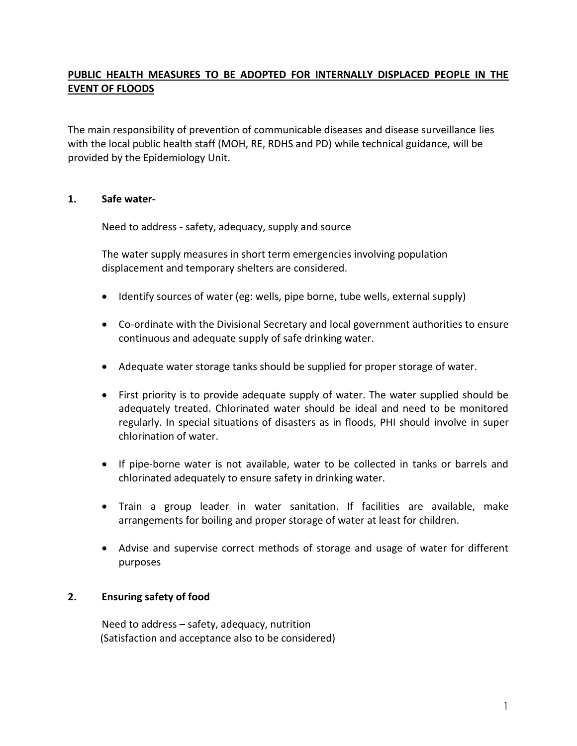# **PUBLIC HEALTH MEASURES TO BE ADOPTED FOR INTERNALLY DISPLACED PEOPLE IN THE EVENT OF FLOODS**

The main responsibility of prevention of communicable diseases and disease surveillance lies with the local public health staff (MOH, RE, RDHS and PD) while technical guidance, will be provided by the Epidemiology Unit.

### **1. Safe water-**

Need to address - safety, adequacy, supply and source

The water supply measures in short term emergencies involving population displacement and temporary shelters are considered.

- Identify sources of water (eg: wells, pipe borne, tube wells, external supply)
- Co-ordinate with the Divisional Secretary and local government authorities to ensure continuous and adequate supply of safe drinking water.
- Adequate water storage tanks should be supplied for proper storage of water.
- First priority is to provide adequate supply of water. The water supplied should be adequately treated. Chlorinated water should be ideal and need to be monitored regularly. In special situations of disasters as in floods, PHI should involve in super chlorination of water.
- If pipe-borne water is not available, water to be collected in tanks or barrels and chlorinated adequately to ensure safety in drinking water.
- Train a group leader in water sanitation. If facilities are available, make arrangements for boiling and proper storage of water at least for children.
- Advise and supervise correct methods of storage and usage of water for different purposes

#### **2. Ensuring safety of food**

Need to address – safety, adequacy, nutrition (Satisfaction and acceptance also to be considered)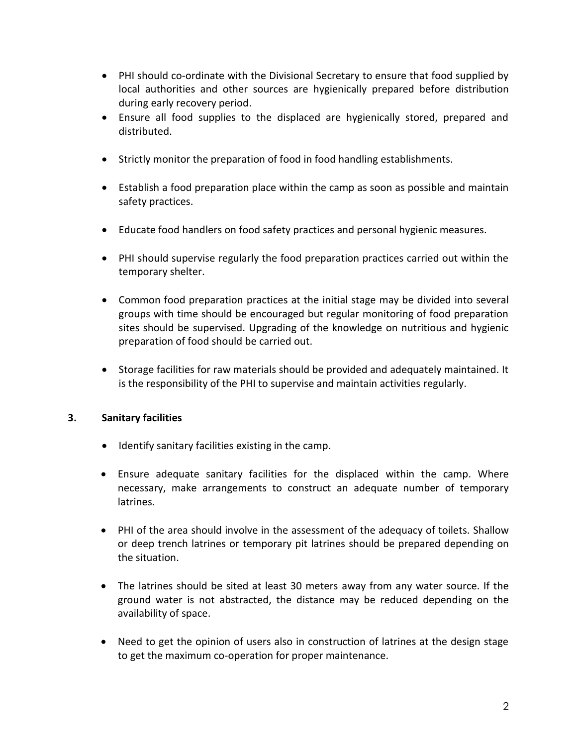- PHI should co-ordinate with the Divisional Secretary to ensure that food supplied by local authorities and other sources are hygienically prepared before distribution during early recovery period.
- Ensure all food supplies to the displaced are hygienically stored, prepared and distributed.
- Strictly monitor the preparation of food in food handling establishments.
- Establish a food preparation place within the camp as soon as possible and maintain safety practices.
- Educate food handlers on food safety practices and personal hygienic measures.
- PHI should supervise regularly the food preparation practices carried out within the temporary shelter.
- Common food preparation practices at the initial stage may be divided into several groups with time should be encouraged but regular monitoring of food preparation sites should be supervised. Upgrading of the knowledge on nutritious and hygienic preparation of food should be carried out.
- Storage facilities for raw materials should be provided and adequately maintained. It is the responsibility of the PHI to supervise and maintain activities regularly.

## **3. Sanitary facilities**

- $\bullet$  Identify sanitary facilities existing in the camp.
- Ensure adequate sanitary facilities for the displaced within the camp. Where necessary, make arrangements to construct an adequate number of temporary latrines.
- PHI of the area should involve in the assessment of the adequacy of toilets. Shallow or deep trench latrines or temporary pit latrines should be prepared depending on the situation.
- The latrines should be sited at least 30 meters away from any water source. If the ground water is not abstracted, the distance may be reduced depending on the availability of space.
- Need to get the opinion of users also in construction of latrines at the design stage to get the maximum co-operation for proper maintenance.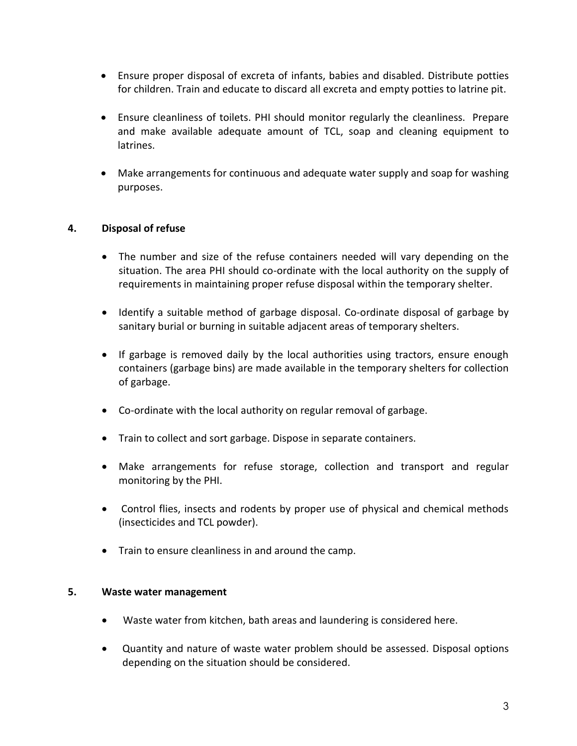- Ensure proper disposal of excreta of infants, babies and disabled. Distribute potties for children. Train and educate to discard all excreta and empty potties to latrine pit.
- Ensure cleanliness of toilets. PHI should monitor regularly the cleanliness. Prepare and make available adequate amount of TCL, soap and cleaning equipment to latrines.
- Make arrangements for continuous and adequate water supply and soap for washing purposes.

## **4. Disposal of refuse**

- The number and size of the refuse containers needed will vary depending on the situation. The area PHI should co-ordinate with the local authority on the supply of requirements in maintaining proper refuse disposal within the temporary shelter.
- Identify a suitable method of garbage disposal. Co-ordinate disposal of garbage by sanitary burial or burning in suitable adjacent areas of temporary shelters.
- If garbage is removed daily by the local authorities using tractors, ensure enough containers (garbage bins) are made available in the temporary shelters for collection of garbage.
- Co-ordinate with the local authority on regular removal of garbage.
- Train to collect and sort garbage. Dispose in separate containers.
- Make arrangements for refuse storage, collection and transport and regular monitoring by the PHI.
- Control flies, insects and rodents by proper use of physical and chemical methods (insecticides and TCL powder).
- Train to ensure cleanliness in and around the camp.

#### **5. Waste water management**

- Waste water from kitchen, bath areas and laundering is considered here.
- Quantity and nature of waste water problem should be assessed. Disposal options depending on the situation should be considered.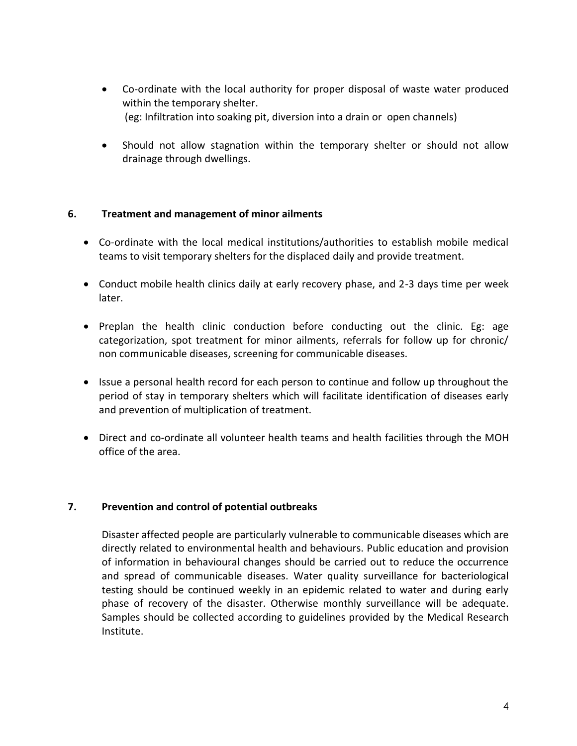- Co-ordinate with the local authority for proper disposal of waste water produced within the temporary shelter. (eg: Infiltration into soaking pit, diversion into a drain or open channels)
- Should not allow stagnation within the temporary shelter or should not allow drainage through dwellings.

### **6. Treatment and management of minor ailments**

- Co-ordinate with the local medical institutions/authorities to establish mobile medical teams to visit temporary shelters for the displaced daily and provide treatment.
- Conduct mobile health clinics daily at early recovery phase, and 2-3 days time per week later.
- Preplan the health clinic conduction before conducting out the clinic. Eg: age categorization, spot treatment for minor ailments, referrals for follow up for chronic/ non communicable diseases, screening for communicable diseases.
- Issue a personal health record for each person to continue and follow up throughout the period of stay in temporary shelters which will facilitate identification of diseases early and prevention of multiplication of treatment.
- Direct and co-ordinate all volunteer health teams and health facilities through the MOH office of the area.

## **7. Prevention and control of potential outbreaks**

Disaster affected people are particularly vulnerable to communicable diseases which are directly related to environmental health and behaviours. Public education and provision of information in behavioural changes should be carried out to reduce the occurrence and spread of communicable diseases. Water quality surveillance for bacteriological testing should be continued weekly in an epidemic related to water and during early phase of recovery of the disaster. Otherwise monthly surveillance will be adequate. Samples should be collected according to guidelines provided by the Medical Research Institute.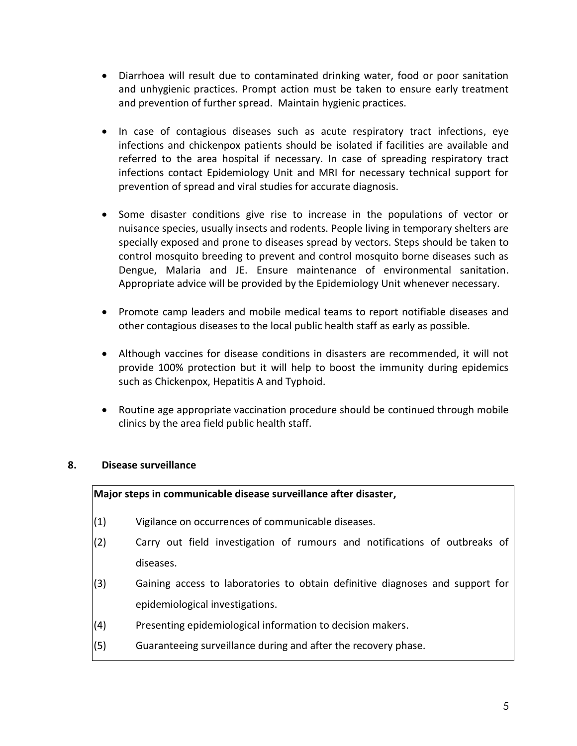- Diarrhoea will result due to contaminated drinking water, food or poor sanitation and unhygienic practices. Prompt action must be taken to ensure early treatment and prevention of further spread. Maintain hygienic practices.
- In case of contagious diseases such as acute respiratory tract infections, eye infections and chickenpox patients should be isolated if facilities are available and referred to the area hospital if necessary. In case of spreading respiratory tract infections contact Epidemiology Unit and MRI for necessary technical support for prevention of spread and viral studies for accurate diagnosis.
- Some disaster conditions give rise to increase in the populations of vector or nuisance species, usually insects and rodents. People living in temporary shelters are specially exposed and prone to diseases spread by vectors. Steps should be taken to control mosquito breeding to prevent and control mosquito borne diseases such as Dengue, Malaria and JE. Ensure maintenance of environmental sanitation. Appropriate advice will be provided by the Epidemiology Unit whenever necessary.
- Promote camp leaders and mobile medical teams to report notifiable diseases and other contagious diseases to the local public health staff as early as possible.
- Although vaccines for disease conditions in disasters are recommended, it will not provide 100% protection but it will help to boost the immunity during epidemics such as Chickenpox, Hepatitis A and Typhoid.
- Routine age appropriate vaccination procedure should be continued through mobile clinics by the area field public health staff.

## **8. Disease surveillance**

#### **Major steps in communicable disease surveillance after disaster,**

- (1) Vigilance on occurrences of communicable diseases.
- (2) Carry out field investigation of rumours and notifications of outbreaks of diseases.
- (3) Gaining access to laboratories to obtain definitive diagnoses and support for epidemiological investigations.
- (4) Presenting epidemiological information to decision makers.
- (5) Guaranteeing surveillance during and after the recovery phase.